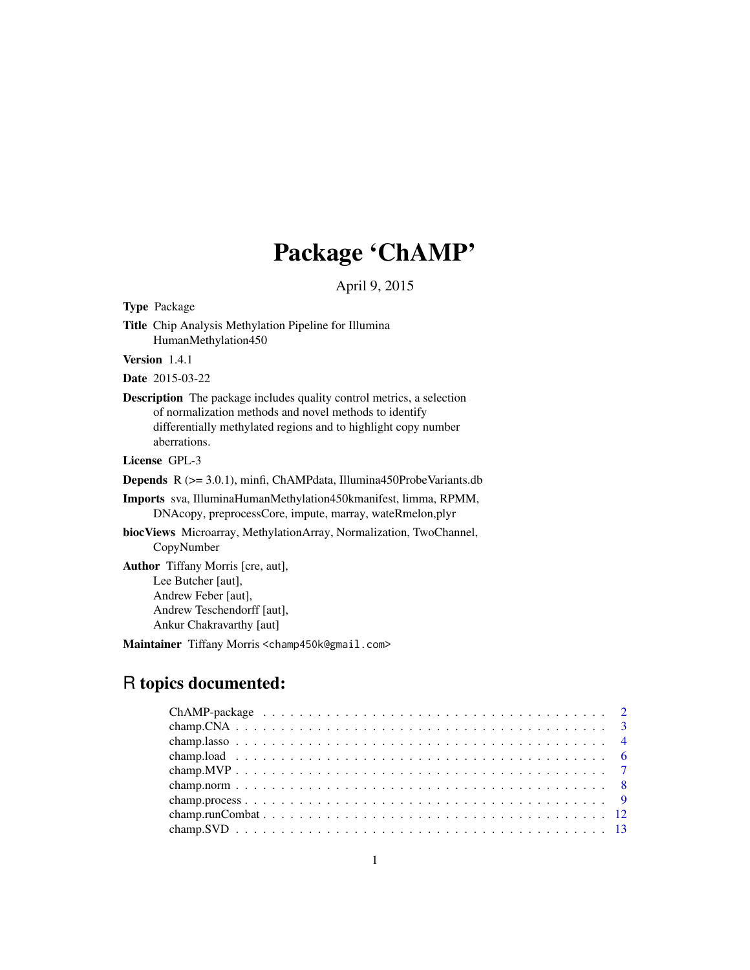# Package 'ChAMP'

April 9, 2015

Type Package

Title Chip Analysis Methylation Pipeline for Illumina HumanMethylation450

Version 1.4.1

Date 2015-03-22

Description The package includes quality control metrics, a selection of normalization methods and novel methods to identify differentially methylated regions and to highlight copy number aberrations.

License GPL-3

Depends R (>= 3.0.1), minfi, ChAMPdata, Illumina450ProbeVariants.db

Imports sva, IlluminaHumanMethylation450kmanifest, limma, RPMM, DNAcopy, preprocessCore, impute, marray, wateRmelon,plyr

biocViews Microarray, MethylationArray, Normalization, TwoChannel, CopyNumber

Author Tiffany Morris [cre, aut], Lee Butcher [aut], Andrew Feber [aut], Andrew Teschendorff [aut], Ankur Chakravarthy [aut]

Maintainer Tiffany Morris <champ450k@gmail.com>

# R topics documented: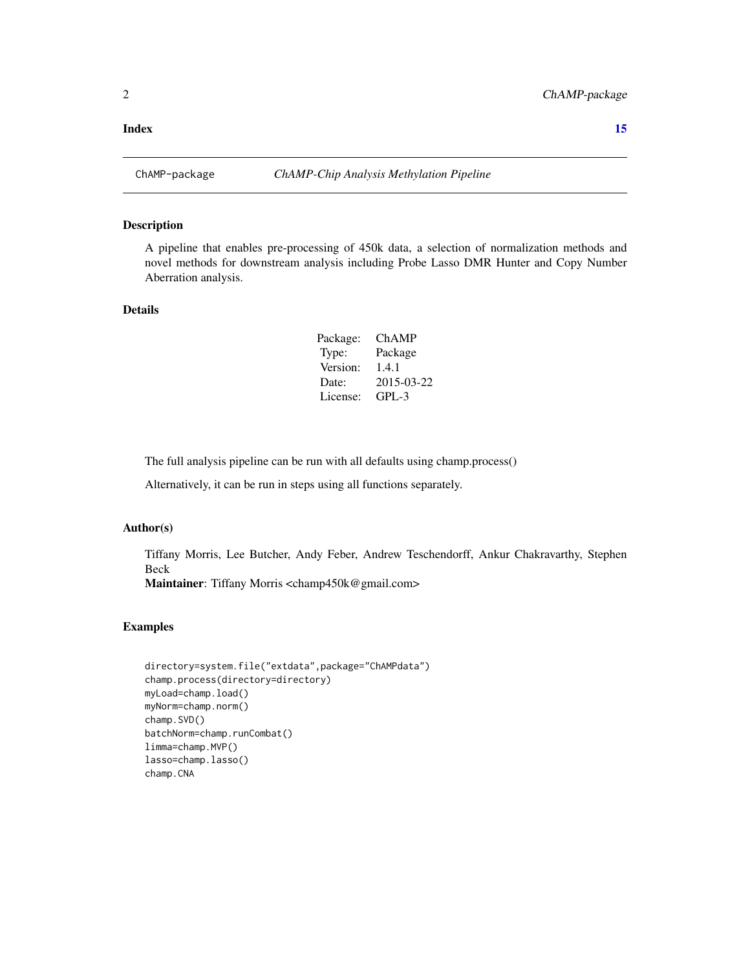<span id="page-1-0"></span>

A pipeline that enables pre-processing of 450k data, a selection of normalization methods and novel methods for downstream analysis including Probe Lasso DMR Hunter and Copy Number Aberration analysis.

#### Details

| Package: | <b>ChAMP</b> |
|----------|--------------|
| Type:    | Package      |
| Version: | 1.4.1        |
| Date:    | 2015-03-22   |
| License: | $GPL-3$      |

The full analysis pipeline can be run with all defaults using champ.process()

Alternatively, it can be run in steps using all functions separately.

## Author(s)

Tiffany Morris, Lee Butcher, Andy Feber, Andrew Teschendorff, Ankur Chakravarthy, Stephen Beck

Maintainer: Tiffany Morris <champ450k@gmail.com>

```
directory=system.file("extdata",package="ChAMPdata")
champ.process(directory=directory)
myLoad=champ.load()
myNorm=champ.norm()
champ.SVD()
batchNorm=champ.runCombat()
limma=champ.MVP()
lasso=champ.lasso()
champ.CNA
```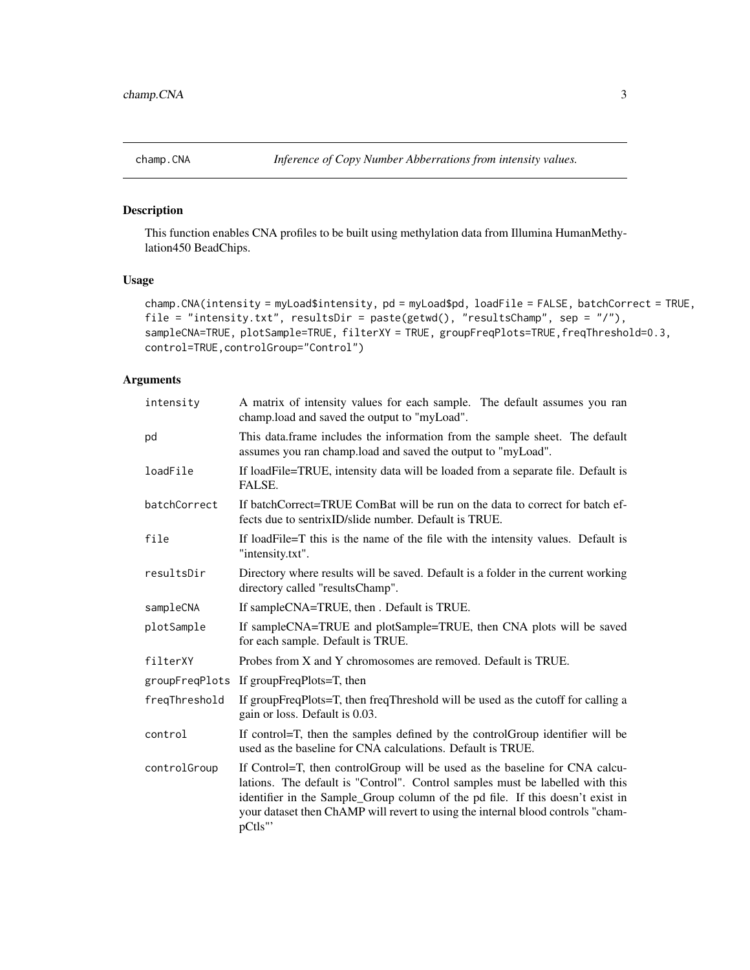<span id="page-2-0"></span>

This function enables CNA profiles to be built using methylation data from Illumina HumanMethylation450 BeadChips.

#### Usage

```
champ.CNA(intensity = myLoad$intensity, pd = myLoad$pd, loadFile = FALSE, batchCorrect = TRUE,
file = "intensity.txt", resultsDir = paste(getwd(), "resultsChamp", sep = "/"),
sampleCNA=TRUE, plotSample=TRUE, filterXY = TRUE, groupFreqPlots=TRUE, freqThreshold=0.3,
control=TRUE,controlGroup="Control")
```

| intensity     | A matrix of intensity values for each sample. The default assumes you ran<br>champ.load and saved the output to "myLoad".                                                                                                                                                                                                                    |  |  |  |
|---------------|----------------------------------------------------------------------------------------------------------------------------------------------------------------------------------------------------------------------------------------------------------------------------------------------------------------------------------------------|--|--|--|
| pd            | This data.frame includes the information from the sample sheet. The default<br>assumes you ran champ.load and saved the output to "myLoad".                                                                                                                                                                                                  |  |  |  |
| loadFile      | If loadFile=TRUE, intensity data will be loaded from a separate file. Default is<br>FALSE.                                                                                                                                                                                                                                                   |  |  |  |
| batchCorrect  | If batchCorrect=TRUE ComBat will be run on the data to correct for batch ef-<br>fects due to sentrixID/slide number. Default is TRUE.                                                                                                                                                                                                        |  |  |  |
| file          | If loadFile=T this is the name of the file with the intensity values. Default is<br>"intensity.txt".                                                                                                                                                                                                                                         |  |  |  |
| resultsDir    | Directory where results will be saved. Default is a folder in the current working<br>directory called "resultsChamp".                                                                                                                                                                                                                        |  |  |  |
| sampleCNA     | If sampleCNA=TRUE, then . Default is TRUE.                                                                                                                                                                                                                                                                                                   |  |  |  |
| plotSample    | If sampleCNA=TRUE and plotSample=TRUE, then CNA plots will be saved<br>for each sample. Default is TRUE.                                                                                                                                                                                                                                     |  |  |  |
| filterXY      | Probes from X and Y chromosomes are removed. Default is TRUE.                                                                                                                                                                                                                                                                                |  |  |  |
|               | groupFreqPlots If groupFreqPlots=T, then                                                                                                                                                                                                                                                                                                     |  |  |  |
| freqThreshold | If groupFreqPlots=T, then freqThreshold will be used as the cutoff for calling a<br>gain or loss. Default is 0.03.                                                                                                                                                                                                                           |  |  |  |
| control       | If control=T, then the samples defined by the control Group identifier will be<br>used as the baseline for CNA calculations. Default is TRUE.                                                                                                                                                                                                |  |  |  |
| controlGroup  | If Control=T, then controlGroup will be used as the baseline for CNA calcu-<br>lations. The default is "Control". Control samples must be labelled with this<br>identifier in the Sample_Group column of the pd file. If this doesn't exist in<br>your dataset then ChAMP will revert to using the internal blood controls "cham-<br>pCtls"' |  |  |  |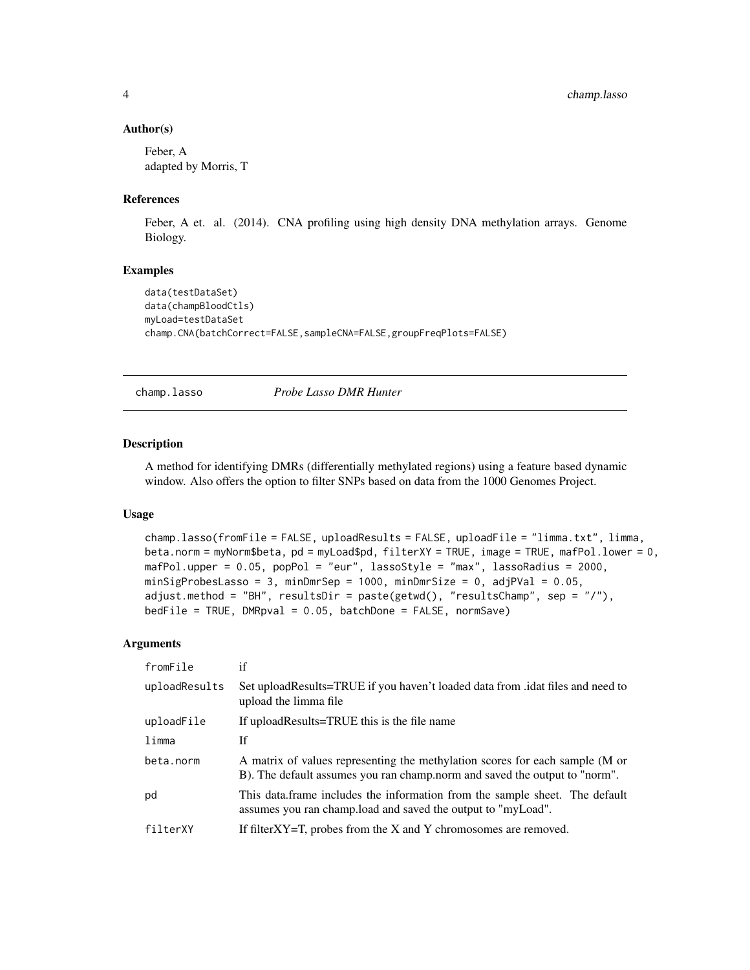#### Author(s)

Feber, A adapted by Morris, T

#### References

Feber, A et. al. (2014). CNA profiling using high density DNA methylation arrays. Genome Biology.

#### Examples

```
data(testDataSet)
data(champBloodCtls)
myLoad=testDataSet
champ.CNA(batchCorrect=FALSE,sampleCNA=FALSE,groupFreqPlots=FALSE)
```
champ.lasso *Probe Lasso DMR Hunter*

#### Description

A method for identifying DMRs (differentially methylated regions) using a feature based dynamic window. Also offers the option to filter SNPs based on data from the 1000 Genomes Project.

#### Usage

```
champ.lasso(fromFile = FALSE, uploadResults = FALSE, uploadFile = "limma.txt", limma,
beta.norm = myNorm$beta, pd = myLoad$pd, filterXY = TRUE, image = TRUE, mafPol.lower = 0,
mafPol.upper = 0.05, popPol = "eur", lassoStyle = "max", lassoRadius = 2000,
minSigProbesLasso = 3, minDmrSep = 1000, minDmrSize = 0, adjPVal = 0.05,
adjust.method = "BH", resultsDir = paste(getwd(), "resultsChamp", sep = "/"),
bedFile = TRUE, DMRpval = 0.05, batchDone = FALSE, normSave)
```

| fromFile      | if                                                                                                                                                         |
|---------------|------------------------------------------------------------------------------------------------------------------------------------------------------------|
| uploadResults | Set upload Results=TRUE if you haven't loaded data from . idat files and need to<br>upload the limma file                                                  |
| uploadFile    | If uploadResults=TRUE this is the file name                                                                                                                |
| limma         | Ιf                                                                                                                                                         |
| beta.norm     | A matrix of values representing the methylation scores for each sample (M or<br>B). The default assumes you ran champ.norm and saved the output to "norm". |
| pd            | This data frame includes the information from the sample sheet. The default<br>assumes you ran champ. load and saved the output to "myLoad".               |
| filterXY      | If filter $XY=T$ , probes from the X and Y chromosomes are removed.                                                                                        |

<span id="page-3-0"></span>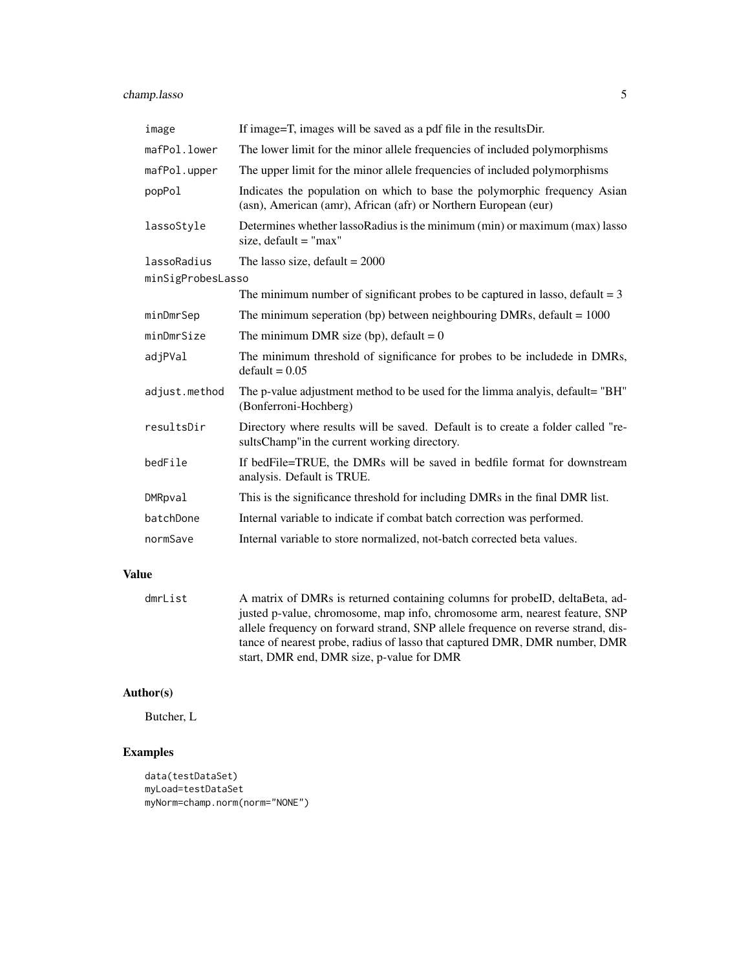## champ.lasso 5

| image             | If image=T, images will be saved as a pdf file in the resultsDir.                                                                            |
|-------------------|----------------------------------------------------------------------------------------------------------------------------------------------|
| mafPol.lower      | The lower limit for the minor allele frequencies of included polymorphisms                                                                   |
| mafPol.upper      | The upper limit for the minor allele frequencies of included polymorphisms                                                                   |
| popPol            | Indicates the population on which to base the polymorphic frequency Asian<br>(asn), American (amr), African (afr) or Northern European (eur) |
| lassoStyle        | Determines whether lassoRadius is the minimum (min) or maximum (max) lasso<br>size, $default = "max"$                                        |
| lassoRadius       | The lasso size, default = $2000$                                                                                                             |
| minSigProbesLasso |                                                                                                                                              |
|                   | The minimum number of significant probes to be captured in lasso, default $=$ 3                                                              |
| minDmrSep         | The minimum seperation (bp) between neighbouring DMRs, default = $1000$                                                                      |
| minDmrSize        | The minimum DMR size (bp), default = $0$                                                                                                     |
| adjPVal           | The minimum threshold of significance for probes to be includede in DMRs,<br>$default = 0.05$                                                |
| adjust.method     | The p-value adjustment method to be used for the limma analyis, default= "BH"<br>(Bonferroni-Hochberg)                                       |
| resultsDir        | Directory where results will be saved. Default is to create a folder called "re-<br>sults Champ" in the current working directory.           |
| bedFile           | If bedFile=TRUE, the DMRs will be saved in bedfile format for downstream<br>analysis. Default is TRUE.                                       |
| DMRpval           | This is the significance threshold for including DMRs in the final DMR list.                                                                 |
| batchDone         | Internal variable to indicate if combat batch correction was performed.                                                                      |
| normSave          | Internal variable to store normalized, not-batch corrected beta values.                                                                      |

## Value

| dmrList | A matrix of DMRs is returned containing columns for probelD, deltaBeta, ad-      |
|---------|----------------------------------------------------------------------------------|
|         | justed p-value, chromosome, map info, chromosome arm, nearest feature, SNP       |
|         | allele frequency on forward strand, SNP allele frequence on reverse strand, dis- |
|         | tance of nearest probe, radius of lasso that captured DMR, DMR number, DMR       |
|         | start, DMR end, DMR size, p-value for DMR                                        |

## Author(s)

Butcher, L

```
data(testDataSet)
myLoad=testDataSet
myNorm=champ.norm(norm="NONE")
```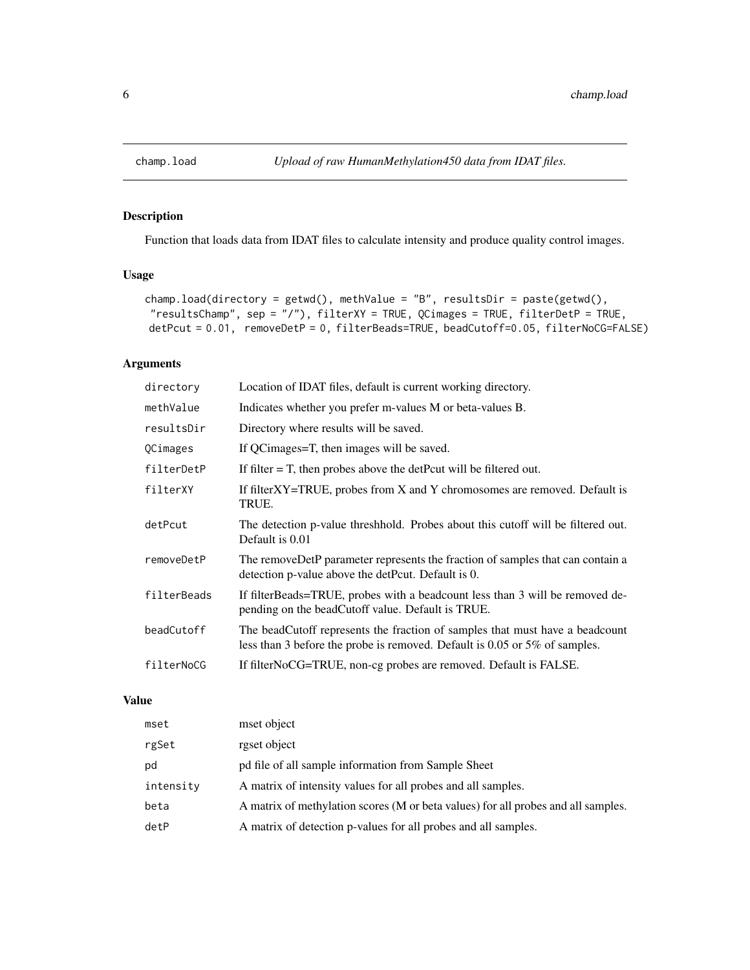<span id="page-5-0"></span>

Function that loads data from IDAT files to calculate intensity and produce quality control images.

### Usage

```
champ.load(directory = getwd(), methValue = "B", resultsDir = paste(getwd(),
"resultsChamp", sep = "/"), filterXY = TRUE, QCimages = TRUE, filterDetP = TRUE,
detPcut = 0.01, removeDetP = 0, filterBeads=TRUE, beadCutoff=0.05, filterNoCG=FALSE)
```
## Arguments

| directory   | Location of IDAT files, default is current working directory.                                                                                              |
|-------------|------------------------------------------------------------------------------------------------------------------------------------------------------------|
| methValue   | Indicates whether you prefer m-values M or beta-values B.                                                                                                  |
| resultsDir  | Directory where results will be saved.                                                                                                                     |
| QCimages    | If QCimages=T, then images will be saved.                                                                                                                  |
| filterDetP  | If filter $=$ T, then probes above the detPcut will be filtered out.                                                                                       |
| filterXY    | If filterXY=TRUE, probes from X and Y chromosomes are removed. Default is<br>TRUE.                                                                         |
| detPcut     | The detection p-value threshhold. Probes about this cutoff will be filtered out.<br>Default is 0.01                                                        |
| removeDetP  | The removeDetP parameter represents the fraction of samples that can contain a<br>detection p-value above the detPcut. Default is 0.                       |
| filterBeads | If filterBeads=TRUE, probes with a beadcount less than 3 will be removed de-<br>pending on the beadCutoff value. Default is TRUE.                          |
| beadCutoff  | The beadCutoff represents the fraction of samples that must have a beadcount<br>less than 3 before the probe is removed. Default is 0.05 or 5% of samples. |
| filterNoCG  | If filterNoCG=TRUE, non-cg probes are removed. Default is FALSE.                                                                                           |

## Value

| mset      | mset object                                                                       |
|-----------|-----------------------------------------------------------------------------------|
| rgSet     | rgset object                                                                      |
| pd        | pd file of all sample information from Sample Sheet                               |
| intensity | A matrix of intensity values for all probes and all samples.                      |
| beta      | A matrix of methylation scores (M or beta values) for all probes and all samples. |
| detP      | A matrix of detection p-values for all probes and all samples.                    |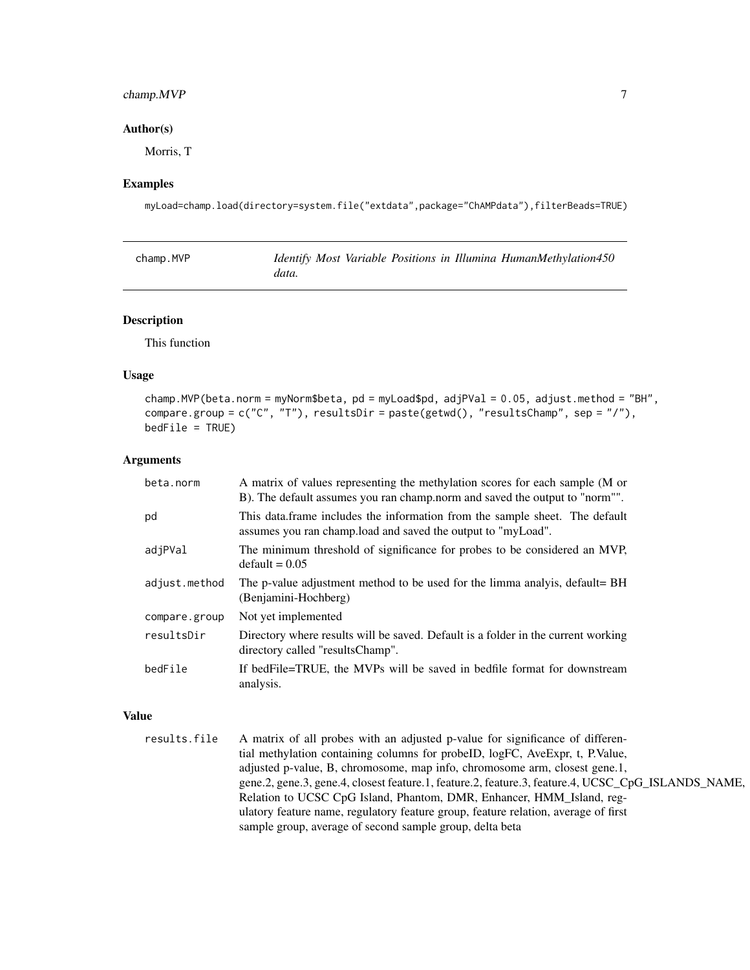## <span id="page-6-0"></span>champ.MVP 7

#### Author(s)

Morris, T

#### Examples

myLoad=champ.load(directory=system.file("extdata",package="ChAMPdata"),filterBeads=TRUE)

| champ.MVP |       |  |  | Identify Most Variable Positions in Illumina HumanMethylation450 |
|-----------|-------|--|--|------------------------------------------------------------------|
|           | data. |  |  |                                                                  |

#### Description

This function

#### Usage

champ.MVP(beta.norm = myNorm\$beta, pd = myLoad\$pd, adjPVal = 0.05, adjust.method = "BH", compare.group = c("C", "T"), resultsDir = paste(getwd(), "resultsChamp", sep = "/"),  $bedFile = TRUE$ )

#### Arguments

| beta.norm     | A matrix of values representing the methylation scores for each sample (M or<br>B). The default assumes you ran champ.norm and saved the output to "norm"". |
|---------------|-------------------------------------------------------------------------------------------------------------------------------------------------------------|
| pd            | This data frame includes the information from the sample sheet. The default<br>assumes you ran champ. load and saved the output to "myLoad".                |
| adjPVal       | The minimum threshold of significance for probes to be considered an MVP,<br>$default = 0.05$                                                               |
| adjust.method | The p-value adjustment method to be used for the limma analyis, default= BH<br>(Benjamini-Hochberg)                                                         |
| compare.group | Not yet implemented                                                                                                                                         |
| resultsDir    | Directory where results will be saved. Default is a folder in the current working<br>directory called "resultsChamp".                                       |
| bedFile       | If bedFile=TRUE, the MVPs will be saved in bedfile format for downstream<br>analysis.                                                                       |

#### Value

```
results.file A matrix of all probes with an adjusted p-value for significance of differen-
                  tial methylation containing columns for probeID, logFC, AveExpr, t, P.Value,
                  adjusted p-value, B, chromosome, map info, chromosome arm, closest gene.1,
                  gene.2, gene.3, gene.4, closest feature.1, feature.2, feature.3, feature.4, UCSC_CpG_ISLANDS_NAME,
                  Relation to UCSC CpG Island, Phantom, DMR, Enhancer, HMM_Island, reg-
                  ulatory feature name, regulatory feature group, feature relation, average of first
                  sample group, average of second sample group, delta beta
```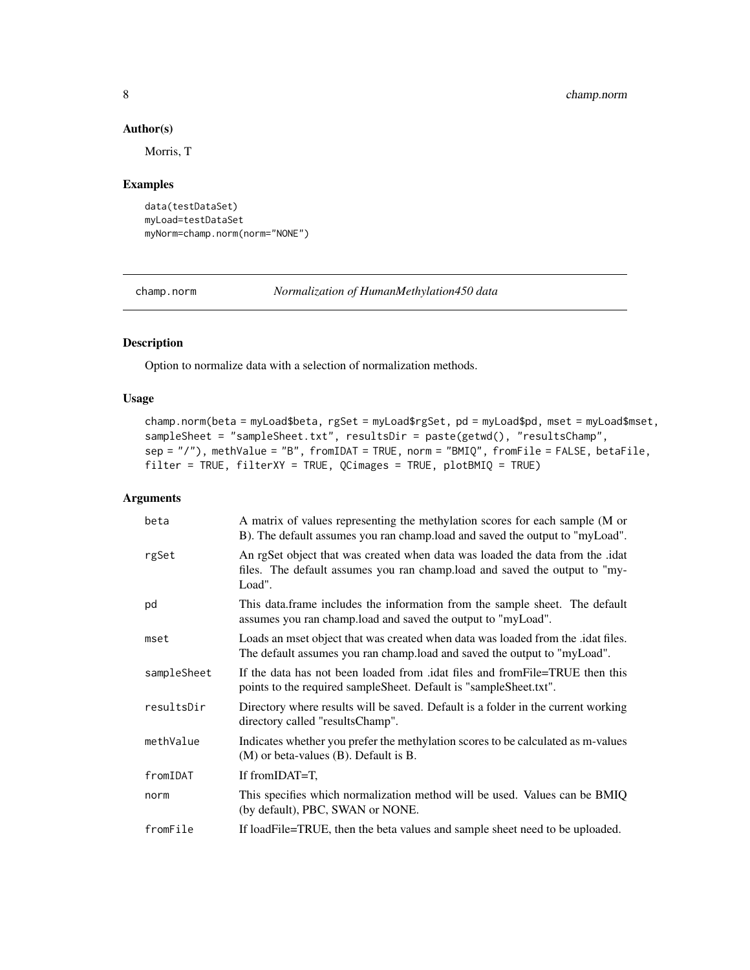#### Author(s)

Morris, T

#### Examples

```
data(testDataSet)
myLoad=testDataSet
myNorm=champ.norm(norm="NONE")
```

```
champ.norm Normalization of HumanMethylation450 data
```
### Description

Option to normalize data with a selection of normalization methods.

#### Usage

```
champ.norm(beta = myLoad$beta, rgSet = myLoad$rgSet, pd = myLoad$pd, mset = myLoad$mset,
sampleSheet = "sampleSheet.txt", resultsDir = paste(getwd(), "resultsChamp",
sep = "/"), methValue = "B", fromIDAT = TRUE, norm = "BMIQ", fromFile = FALSE, betaFile,
filter = TRUE, filterXY = TRUE, QCimages = TRUE, plotBMIQ = TRUE)
```

| beta        | A matrix of values representing the methylation scores for each sample (M or<br>B). The default assumes you ran champ.load and saved the output to "myLoad".          |
|-------------|-----------------------------------------------------------------------------------------------------------------------------------------------------------------------|
| rgSet       | An rgSet object that was created when data was loaded the data from the .idat<br>files. The default assumes you ran champ.load and saved the output to "my-<br>Load". |
| pd          | This data frame includes the information from the sample sheet. The default<br>assumes you ran champ.load and saved the output to "myLoad".                           |
| mset        | Loads an mset object that was created when data was loaded from the .idat files.<br>The default assumes you ran champ.load and saved the output to "myLoad".          |
| sampleSheet | If the data has not been loaded from .idat files and from File=TRUE then this<br>points to the required sample Sheet. Default is "sample Sheet.txt".                  |
| resultsDir  | Directory where results will be saved. Default is a folder in the current working<br>directory called "resultsChamp".                                                 |
| methValue   | Indicates whether you prefer the methylation scores to be calculated as m-values<br>$(M)$ or beta-values $(B)$ . Default is B.                                        |
| fromIDAT    | If fromIDAT=T,                                                                                                                                                        |
| norm        | This specifies which normalization method will be used. Values can be BMIQ<br>(by default), PBC, SWAN or NONE.                                                        |
| fromFile    | If loadFile=TRUE, then the beta values and sample sheet need to be uploaded.                                                                                          |

<span id="page-7-0"></span>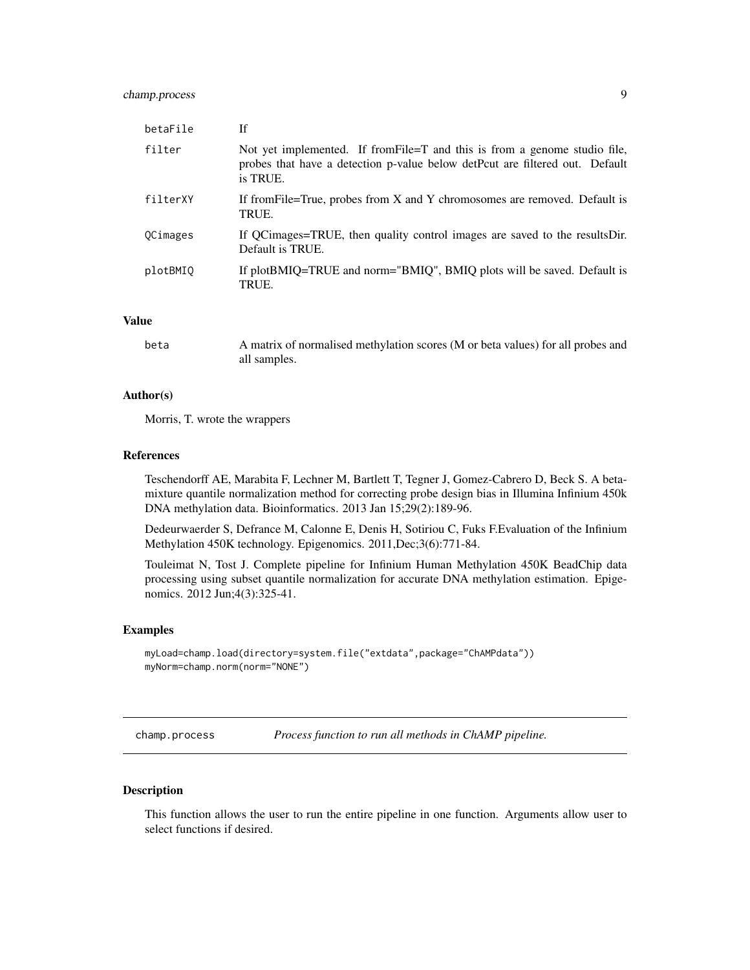<span id="page-8-0"></span>

| betaFile | If                                                                                                                                                                     |
|----------|------------------------------------------------------------------------------------------------------------------------------------------------------------------------|
| filter   | Not yet implemented. If from File=T and this is from a genome studio file,<br>probes that have a detection p-value below detPcut are filtered out. Default<br>is TRUE. |
| filterXY | If from File=True, probes from X and Y chromosomes are removed. Default is<br>TRUE.                                                                                    |
| OCimages | If QCimages=TRUE, then quality control images are saved to the results Dir.<br>Default is TRUE.                                                                        |
| plotBMIQ | If plotBMIQ=TRUE and norm="BMIQ", BMIQ plots will be saved. Default is<br>TRUE.                                                                                        |

#### Value

| beta | A matrix of normalised methylation scores (M or beta values) for all probes and |
|------|---------------------------------------------------------------------------------|
|      | all samples.                                                                    |

#### Author(s)

Morris, T. wrote the wrappers

#### References

Teschendorff AE, Marabita F, Lechner M, Bartlett T, Tegner J, Gomez-Cabrero D, Beck S. A betamixture quantile normalization method for correcting probe design bias in Illumina Infinium 450k DNA methylation data. Bioinformatics. 2013 Jan 15;29(2):189-96.

Dedeurwaerder S, Defrance M, Calonne E, Denis H, Sotiriou C, Fuks F.Evaluation of the Infinium Methylation 450K technology. Epigenomics. 2011,Dec;3(6):771-84.

Touleimat N, Tost J. Complete pipeline for Infinium Human Methylation 450K BeadChip data processing using subset quantile normalization for accurate DNA methylation estimation. Epigenomics. 2012 Jun;4(3):325-41.

#### Examples

```
myLoad=champ.load(directory=system.file("extdata",package="ChAMPdata"))
myNorm=champ.norm(norm="NONE")
```
champ.process *Process function to run all methods in ChAMP pipeline.*

#### Description

This function allows the user to run the entire pipeline in one function. Arguments allow user to select functions if desired.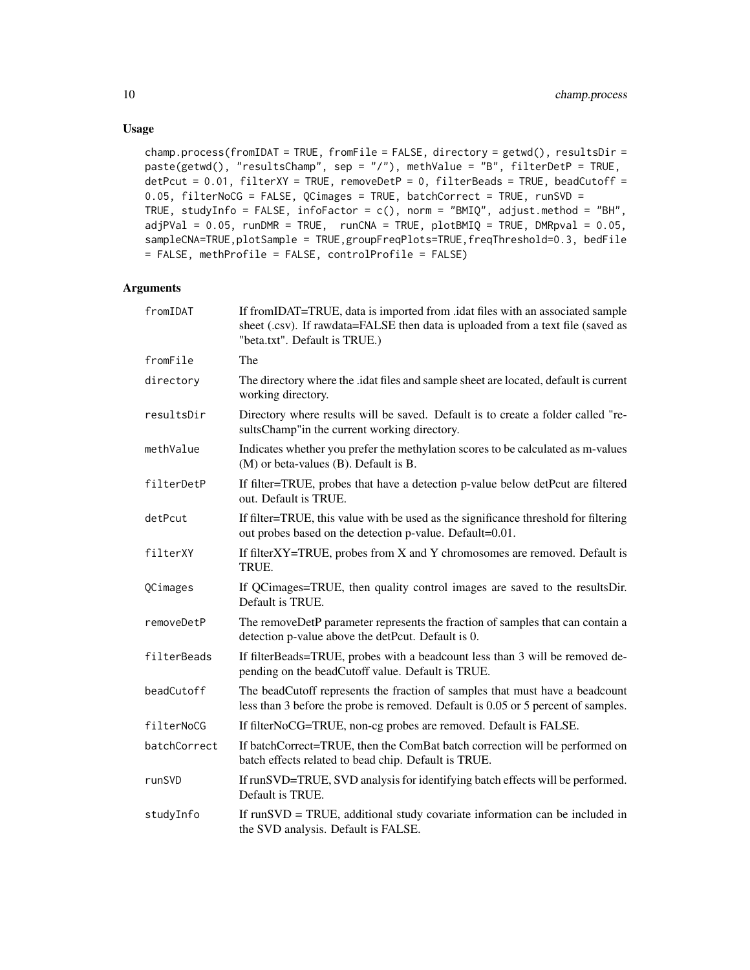#### Usage

```
champ.process(fromIDAT = TRUE, fromFile = FALSE, directory = getwd(), resultsDir =
paste(getwd(), "resultsChamp", sep = "/"), methValue = "B", filterDetP = TRUE,
detPcut = 0.01, filterXY = TRUE, removeDetP = 0, filterBeads = TRUE, beadCutoff =
0.05, filterNoCG = FALSE, QCimages = TRUE, batchCorrect = TRUE, runSVD =
TRUE, studyInfo = FALSE, infoFactor = c(), norm = "BMIQ", adjust.method = "BH",
adjPVal = 0.05, runDMR = TRUE, runCNA = TRUE, plotBMIQ = TRUE, DMRpval = 0.05,
sampleCNA=TRUE,plotSample = TRUE,groupFreqPlots=TRUE,freqThreshold=0.3, bedFile
= FALSE, methProfile = FALSE, controlProfile = FALSE)
```

| fromIDAT     | If fromIDAT=TRUE, data is imported from .idat files with an associated sample<br>sheet (.csv). If rawdata=FALSE then data is uploaded from a text file (saved as<br>"beta.txt". Default is TRUE.) |
|--------------|---------------------------------------------------------------------------------------------------------------------------------------------------------------------------------------------------|
| fromFile     | The                                                                                                                                                                                               |
| directory    | The directory where the .idat files and sample sheet are located, default is current<br>working directory.                                                                                        |
| resultsDir   | Directory where results will be saved. Default is to create a folder called "re-<br>sultsChamp"in the current working directory.                                                                  |
| methValue    | Indicates whether you prefer the methylation scores to be calculated as m-values<br>$(M)$ or beta-values $(B)$ . Default is B.                                                                    |
| filterDetP   | If filter=TRUE, probes that have a detection p-value below detPcut are filtered<br>out. Default is TRUE.                                                                                          |
| detPcut      | If filter=TRUE, this value with be used as the significance threshold for filtering<br>out probes based on the detection p-value. Default=0.01.                                                   |
| filterXY     | If filter $XY = TRUE$ , probes from $X$ and $Y$ chromosomes are removed. Default is<br>TRUE.                                                                                                      |
| QCimages     | If QCimages=TRUE, then quality control images are saved to the resultsDir.<br>Default is TRUE.                                                                                                    |
| removeDetP   | The removeDetP parameter represents the fraction of samples that can contain a<br>detection p-value above the detPcut. Default is 0.                                                              |
| filterBeads  | If filterBeads=TRUE, probes with a beadcount less than 3 will be removed de-<br>pending on the beadCutoff value. Default is TRUE.                                                                 |
| beadCutoff   | The beadCutoff represents the fraction of samples that must have a beadcount<br>less than 3 before the probe is removed. Default is 0.05 or 5 percent of samples.                                 |
| filterNoCG   | If filterNoCG=TRUE, non-cg probes are removed. Default is FALSE.                                                                                                                                  |
| batchCorrect | If batchCorrect=TRUE, then the ComBat batch correction will be performed on<br>batch effects related to bead chip. Default is TRUE.                                                               |
| runSVD       | If runSVD=TRUE, SVD analysis for identifying batch effects will be performed.<br>Default is TRUE.                                                                                                 |
| studyInfo    | If runSVD = TRUE, additional study covariate information can be included in<br>the SVD analysis. Default is FALSE.                                                                                |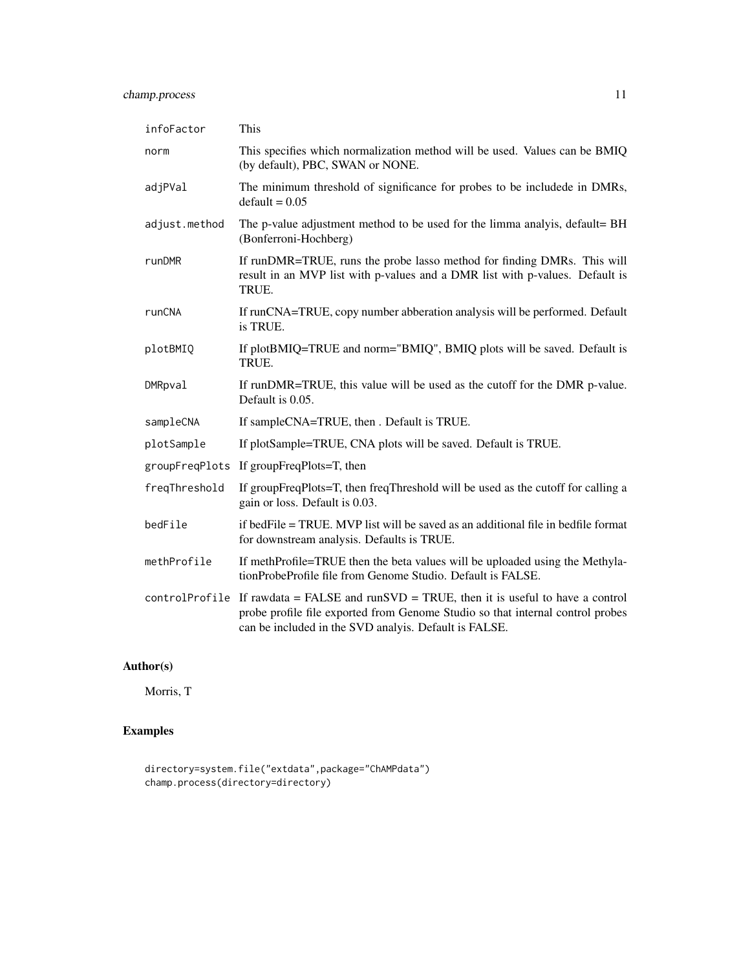## champ.process 11

| infoFactor     | This                                                                                                                                                                                                                                |
|----------------|-------------------------------------------------------------------------------------------------------------------------------------------------------------------------------------------------------------------------------------|
| norm           | This specifies which normalization method will be used. Values can be BMIQ<br>(by default), PBC, SWAN or NONE.                                                                                                                      |
| adjPVal        | The minimum threshold of significance for probes to be includede in DMRs,<br>$default = 0.05$                                                                                                                                       |
| adjust.method  | The p-value adjustment method to be used for the limma analyis, default= BH<br>(Bonferroni-Hochberg)                                                                                                                                |
| runDMR         | If runDMR=TRUE, runs the probe lasso method for finding DMRs. This will<br>result in an MVP list with p-values and a DMR list with p-values. Default is<br>TRUE.                                                                    |
| runCNA         | If runCNA=TRUE, copy number abberation analysis will be performed. Default<br>is TRUE.                                                                                                                                              |
| plotBMIQ       | If plotBMIQ=TRUE and norm="BMIQ", BMIQ plots will be saved. Default is<br>TRUE.                                                                                                                                                     |
| <b>DMRpval</b> | If runDMR=TRUE, this value will be used as the cutoff for the DMR p-value.<br>Default is 0.05.                                                                                                                                      |
| sampleCNA      | If sampleCNA=TRUE, then . Default is TRUE.                                                                                                                                                                                          |
| plotSample     | If plotSample=TRUE, CNA plots will be saved. Default is TRUE.                                                                                                                                                                       |
|                | groupFreqPlots If groupFreqPlots=T, then                                                                                                                                                                                            |
| freqThreshold  | If groupFreqPlots=T, then freqThreshold will be used as the cutoff for calling a<br>gain or loss. Default is 0.03.                                                                                                                  |
| bedFile        | if bedFile = TRUE. MVP list will be saved as an additional file in bedfile format<br>for downstream analysis. Defaults is TRUE.                                                                                                     |
| methProfile    | If methProfile=TRUE then the beta values will be uploaded using the Methyla-<br>tionProbeProfile file from Genome Studio. Default is FALSE.                                                                                         |
|                | controlProfile If rawdata = FALSE and runSVD = TRUE, then it is useful to have a control<br>probe profile file exported from Genome Studio so that internal control probes<br>can be included in the SVD analyis. Default is FALSE. |

## Author(s)

Morris, T

```
directory=system.file("extdata",package="ChAMPdata")
champ.process(directory=directory)
```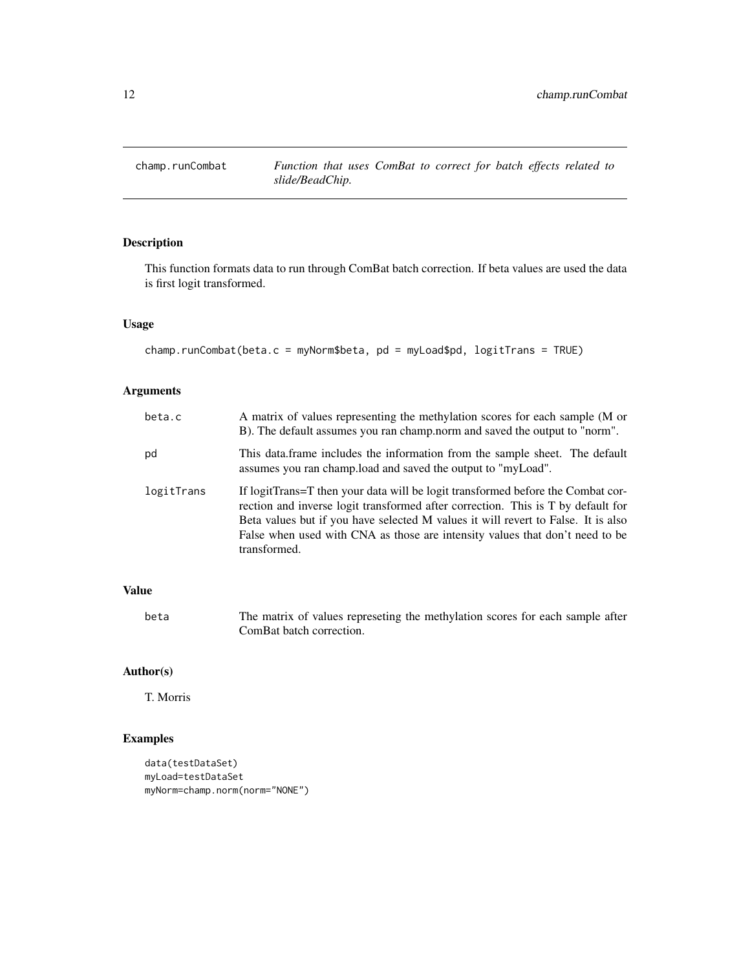<span id="page-11-0"></span>

This function formats data to run through ComBat batch correction. If beta values are used the data is first logit transformed.

#### Usage

```
champ.runCombat(beta.c = myNorm$beta, pd = myLoad$pd, logitTrans = TRUE)
```
#### Arguments

| beta.c     | A matrix of values representing the methylation scores for each sample (M or<br>B). The default assumes you ran champ, norm and saved the output to "norm".                                                                                                                                                                                              |
|------------|----------------------------------------------------------------------------------------------------------------------------------------------------------------------------------------------------------------------------------------------------------------------------------------------------------------------------------------------------------|
| pd         | This data frame includes the information from the sample sheet. The default<br>assumes you ran champ. load and saved the output to "myLoad".                                                                                                                                                                                                             |
| logitTrans | If logitTrans=T then your data will be logit transformed before the Combat cor-<br>rection and inverse logit transformed after correction. This is T by default for<br>Beta values but if you have selected M values it will revert to False. It is also<br>False when used with CNA as those are intensity values that don't need to be<br>transformed. |

## Value

beta The matrix of values represeting the methylation scores for each sample after ComBat batch correction.

## Author(s)

T. Morris

```
data(testDataSet)
myLoad=testDataSet
myNorm=champ.norm(norm="NONE")
```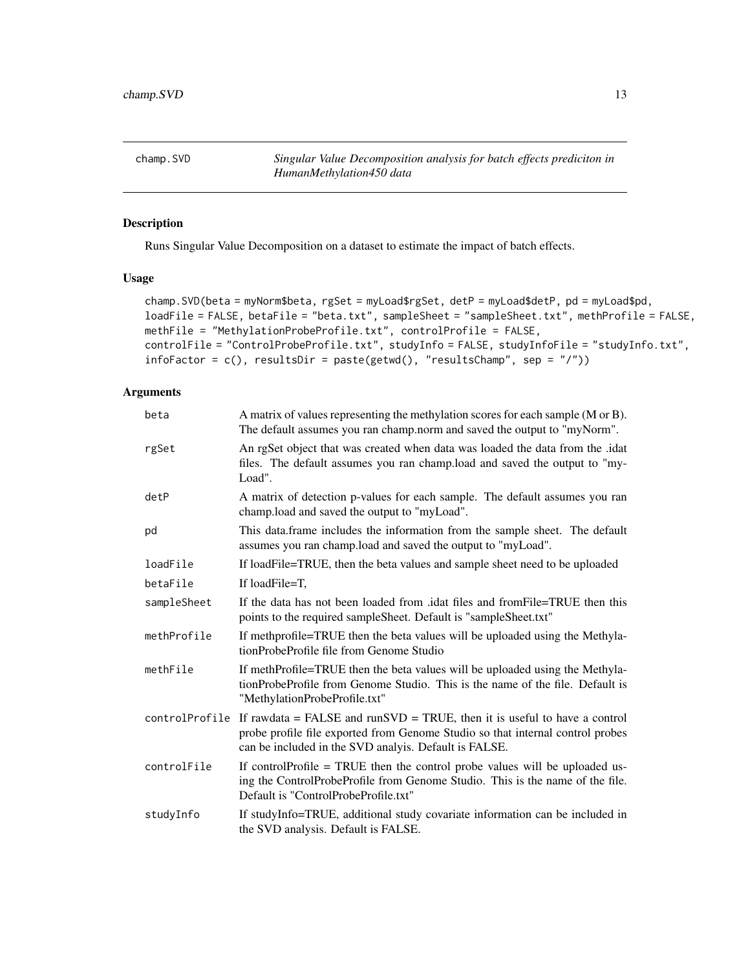<span id="page-12-0"></span>champ.SVD *Singular Value Decomposition analysis for batch effects prediciton in HumanMethylation450 data*

## Description

Runs Singular Value Decomposition on a dataset to estimate the impact of batch effects.

#### Usage

```
champ.SVD(beta = myNorm$beta, rgSet = myLoad$rgSet, detP = myLoad$detP, pd = myLoad$pd,
loadFile = FALSE, betaFile = "beta.txt", sampleSheet = "sampleSheet.txt", methProfile = FALSE,
methFile = "MethylationProbeProfile.txt", controlProfile = FALSE,
controlFile = "ControlProbeProfile.txt", studyInfo = FALSE, studyInfoFile = "studyInfo.txt",
infoFactor = c(), resultsDir = paste(getwd(), "resultsChamp", sep = "/"))
```

| beta        | A matrix of values representing the methylation scores for each sample (M or B).<br>The default assumes you ran champ.norm and saved the output to "myNorm".                                                                        |
|-------------|-------------------------------------------------------------------------------------------------------------------------------------------------------------------------------------------------------------------------------------|
| rgSet       | An rgSet object that was created when data was loaded the data from the .idat<br>files. The default assumes you ran champ.load and saved the output to "my-<br>Load".                                                               |
| detP        | A matrix of detection p-values for each sample. The default assumes you ran<br>champ.load and saved the output to "myLoad".                                                                                                         |
| pd          | This data.frame includes the information from the sample sheet. The default<br>assumes you ran champ.load and saved the output to "myLoad".                                                                                         |
| loadFile    | If loadFile=TRUE, then the beta values and sample sheet need to be uploaded                                                                                                                                                         |
| betaFile    | If loadFile=T.                                                                                                                                                                                                                      |
| sampleSheet | If the data has not been loaded from .idat files and from File=TRUE then this<br>points to the required sampleSheet. Default is "sampleSheet.txt"                                                                                   |
| methProfile | If methprofile=TRUE then the beta values will be uploaded using the Methyla-<br>tionProbeProfile file from Genome Studio                                                                                                            |
| methFile    | If methProfile=TRUE then the beta values will be uploaded using the Methyla-<br>tionProbeProfile from Genome Studio. This is the name of the file. Default is<br>"MethylationProbeProfile.txt"                                      |
|             | controlProfile If rawdata = FALSE and runSVD = TRUE, then it is useful to have a control<br>probe profile file exported from Genome Studio so that internal control probes<br>can be included in the SVD analyis. Default is FALSE. |
| controlFile | If controlProfile = TRUE then the control probe values will be uploaded us-<br>ing the ControlProbeProfile from Genome Studio. This is the name of the file.<br>Default is "ControlProbeProfile.txt"                                |
| studyInfo   | If studyInfo=TRUE, additional study covariate information can be included in<br>the SVD analysis. Default is FALSE.                                                                                                                 |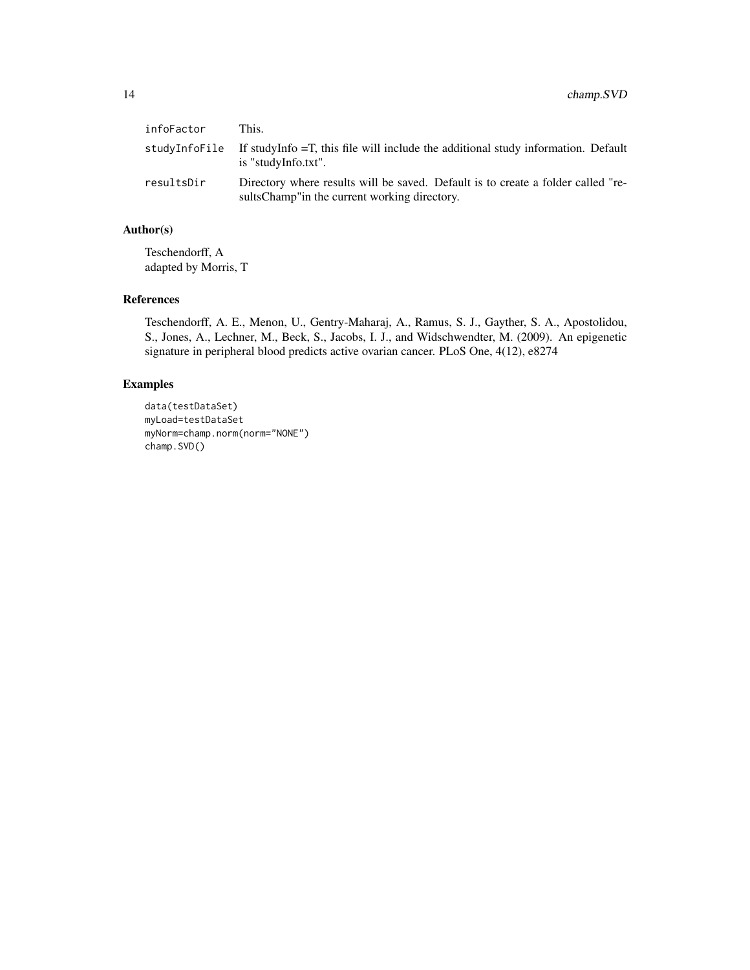| infoFactor | This.                                                                                                                              |
|------------|------------------------------------------------------------------------------------------------------------------------------------|
|            | studyInfoFile If studyInfo = T, this file will include the additional study information. Default<br>is "studyInfo.txt".            |
| resultsDir | Directory where results will be saved. Default is to create a folder called "re-<br>sults Champ" in the current working directory. |

## Author(s)

Teschendorff, A adapted by Morris, T

## References

Teschendorff, A. E., Menon, U., Gentry-Maharaj, A., Ramus, S. J., Gayther, S. A., Apostolidou, S., Jones, A., Lechner, M., Beck, S., Jacobs, I. J., and Widschwendter, M. (2009). An epigenetic signature in peripheral blood predicts active ovarian cancer. PLoS One, 4(12), e8274

```
data(testDataSet)
myLoad=testDataSet
myNorm=champ.norm(norm="NONE")
champ.SVD()
```